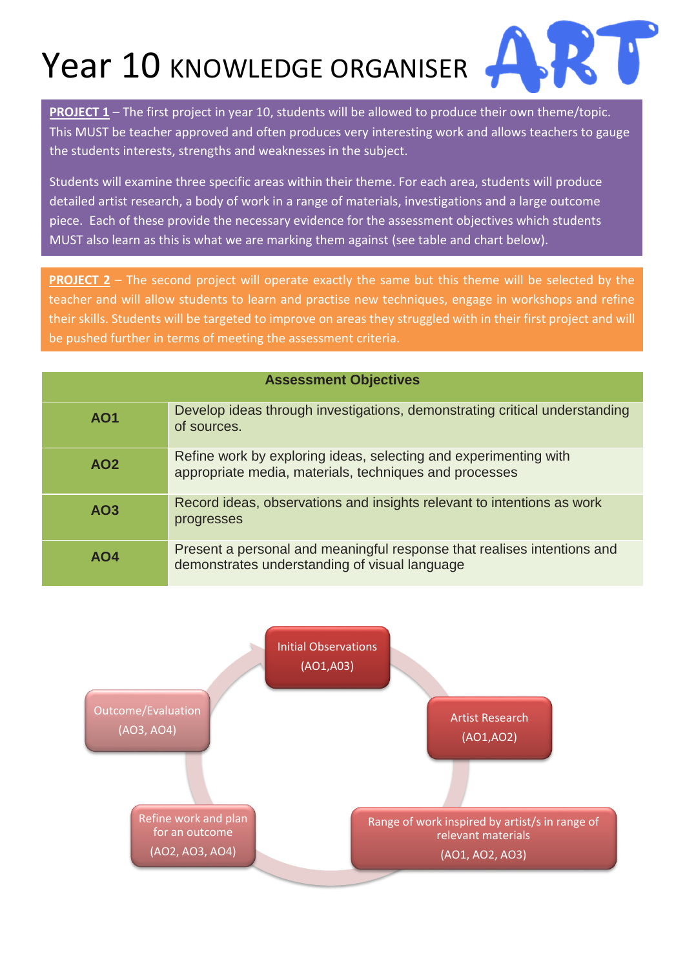Year 10 KNOWLEDGE ORGANISER



**PROJECT 1** – The first project in year 10, students will be allowed to produce their own theme/topic. This MUST be teacher approved and often produces very interesting work and allows teachers to gauge the students interests, strengths and weaknesses in the subject.

Students will examine three specific areas within their theme. For each area, students will produce detailed artist research, a body of work in a range of materials, investigations and a large outcome piece. Each of these provide the necessary evidence for the assessment objectives which students MUST also learn as this is what we are marking them against (see table and chart below).

**PROJECT 2** – The second project will operate exactly the same but this theme will be selected by the teacher and will allow students to learn and practise new techniques, engage in workshops and refine their skills. Students will be targeted to improve on areas they struggled with in their first project and will be pushed further in terms of meeting the assessment criteria.

| <b>Assessment Objectives</b> |                                                                                                                            |
|------------------------------|----------------------------------------------------------------------------------------------------------------------------|
| <b>AO1</b>                   | Develop ideas through investigations, demonstrating critical understanding<br>of sources.                                  |
| AO <sub>2</sub>              | Refine work by exploring ideas, selecting and experimenting with<br>appropriate media, materials, techniques and processes |
| AO <sub>3</sub>              | Record ideas, observations and insights relevant to intentions as work<br>progresses                                       |
| AO4                          | Present a personal and meaningful response that realises intentions and<br>demonstrates understanding of visual language   |